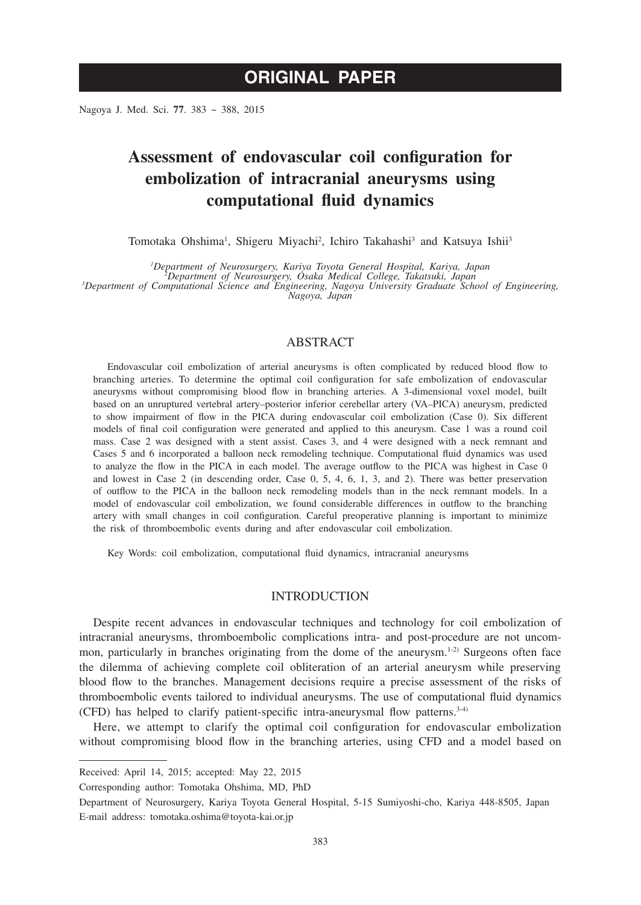Nagoya J. Med. Sci. **77**. 383 ~ 388, 2015

# **Assessment of endovascular coil configuration for embolization of intracranial aneurysms using computational fluid dynamics**

Tomotaka Ohshima<sup>1</sup>, Shigeru Miyachi<sup>2</sup>, Ichiro Takahashi<sup>3</sup> and Katsuya Ishii<sup>3</sup>

*1 Department of Neurosurgery, Kariya Toyota General Hospital, Kariya, Japan <sup>2</sup> Department of Neurosurgery, Osaka Medical College, Takatsuki, Japan <sup>3</sup>*

*Department of Computational Science and Engineering, Nagoya University Graduate School of Engineering, Nagoya, Japan*

# ABSTRACT

Endovascular coil embolization of arterial aneurysms is often complicated by reduced blood flow to branching arteries. To determine the optimal coil configuration for safe embolization of endovascular aneurysms without compromising blood flow in branching arteries. A 3-dimensional voxel model, built based on an unruptured vertebral artery–posterior inferior cerebellar artery (VA–PICA) aneurysm, predicted to show impairment of flow in the PICA during endovascular coil embolization (Case 0). Six different models of final coil configuration were generated and applied to this aneurysm. Case 1 was a round coil mass. Case 2 was designed with a stent assist. Cases 3, and 4 were designed with a neck remnant and Cases 5 and 6 incorporated a balloon neck remodeling technique. Computational fluid dynamics was used to analyze the flow in the PICA in each model. The average outflow to the PICA was highest in Case 0 and lowest in Case 2 (in descending order, Case 0, 5, 4, 6, 1, 3, and 2). There was better preservation of outflow to the PICA in the balloon neck remodeling models than in the neck remnant models. In a model of endovascular coil embolization, we found considerable differences in outflow to the branching artery with small changes in coil configuration. Careful preoperative planning is important to minimize the risk of thromboembolic events during and after endovascular coil embolization.

Key Words: coil embolization, computational fluid dynamics, intracranial aneurysms

### INTRODUCTION

Despite recent advances in endovascular techniques and technology for coil embolization of intracranial aneurysms, thromboembolic complications intra- and post-procedure are not uncommon, particularly in branches originating from the dome of the aneurysm.<sup>1-2)</sup> Surgeons often face the dilemma of achieving complete coil obliteration of an arterial aneurysm while preserving blood flow to the branches. Management decisions require a precise assessment of the risks of thromboembolic events tailored to individual aneurysms. The use of computational fluid dynamics (CFD) has helped to clarify patient-specific intra-aneurysmal flow patterns.<sup>3-4)</sup>

Here, we attempt to clarify the optimal coil configuration for endovascular embolization without compromising blood flow in the branching arteries, using CFD and a model based on

Received: April 14, 2015; accepted: May 22, 2015

Corresponding author: Tomotaka Ohshima, MD, PhD

Department of Neurosurgery, Kariya Toyota General Hospital, 5-15 Sumiyoshi-cho, Kariya 448-8505, Japan E-mail address: tomotaka.oshima@toyota-kai.or.jp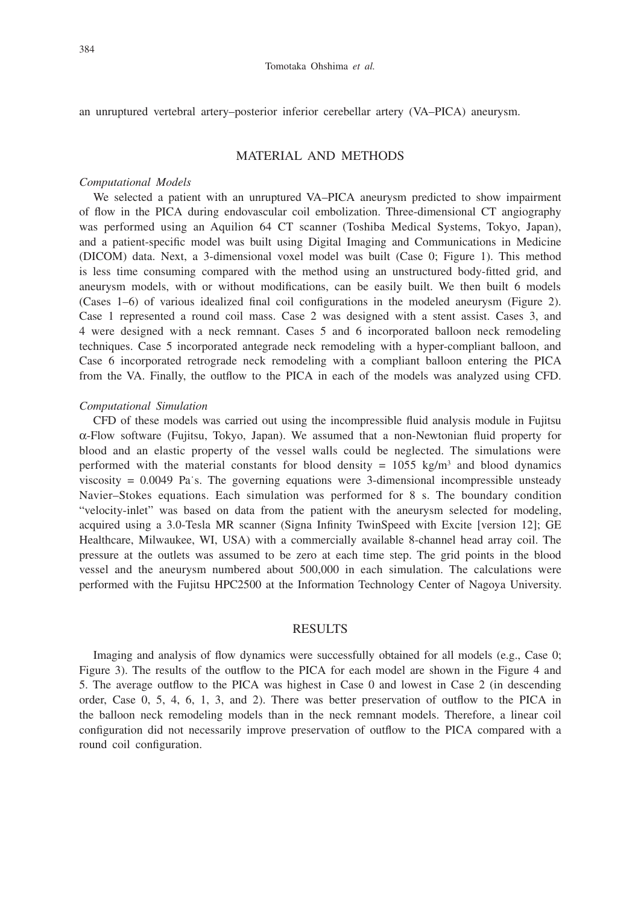an unruptured vertebral artery–posterior inferior cerebellar artery (VA–PICA) aneurysm.

#### MATERIAL AND METHODS

#### *Computational Models*

We selected a patient with an unruptured VA–PICA aneurysm predicted to show impairment of flow in the PICA during endovascular coil embolization. Three-dimensional CT angiography was performed using an Aquilion 64 CT scanner (Toshiba Medical Systems, Tokyo, Japan), and a patient-specific model was built using Digital Imaging and Communications in Medicine (DICOM) data. Next, a 3-dimensional voxel model was built (Case 0; Figure 1). This method is less time consuming compared with the method using an unstructured body-fitted grid, and aneurysm models, with or without modifications, can be easily built. We then built 6 models (Cases 1–6) of various idealized final coil configurations in the modeled aneurysm (Figure 2). Case 1 represented a round coil mass. Case 2 was designed with a stent assist. Cases 3, and 4 were designed with a neck remnant. Cases 5 and 6 incorporated balloon neck remodeling techniques. Case 5 incorporated antegrade neck remodeling with a hyper-compliant balloon, and Case 6 incorporated retrograde neck remodeling with a compliant balloon entering the PICA from the VA. Finally, the outflow to the PICA in each of the models was analyzed using CFD.

#### *Computational Simulation*

CFD of these models was carried out using the incompressible fluid analysis module in Fujitsu  $\alpha$ -Flow software (Fujitsu, Tokyo, Japan). We assumed that a non-Newtonian fluid property for blood and an elastic property of the vessel walls could be neglected. The simulations were performed with the material constants for blood density =  $1055 \text{ kg/m}^3$  and blood dynamics viscosity  $= 0.0049$  Pa s. The governing equations were 3-dimensional incompressible unsteady Navier–Stokes equations. Each simulation was performed for 8 s. The boundary condition "velocity-inlet" was based on data from the patient with the aneurysm selected for modeling, acquired using a 3.0-Tesla MR scanner (Signa Infinity TwinSpeed with Excite [version 12]; GE Healthcare, Milwaukee, WI, USA) with a commercially available 8-channel head array coil. The pressure at the outlets was assumed to be zero at each time step. The grid points in the blood vessel and the aneurysm numbered about 500,000 in each simulation. The calculations were performed with the Fujitsu HPC2500 at the Information Technology Center of Nagoya University.

### RESULTS

Imaging and analysis of flow dynamics were successfully obtained for all models (e.g., Case 0; Figure 3). The results of the outflow to the PICA for each model are shown in the Figure 4 and 5. The average outflow to the PICA was highest in Case 0 and lowest in Case 2 (in descending order, Case 0, 5, 4, 6, 1, 3, and 2). There was better preservation of outflow to the PICA in the balloon neck remodeling models than in the neck remnant models. Therefore, a linear coil configuration did not necessarily improve preservation of outflow to the PICA compared with a round coil configuration.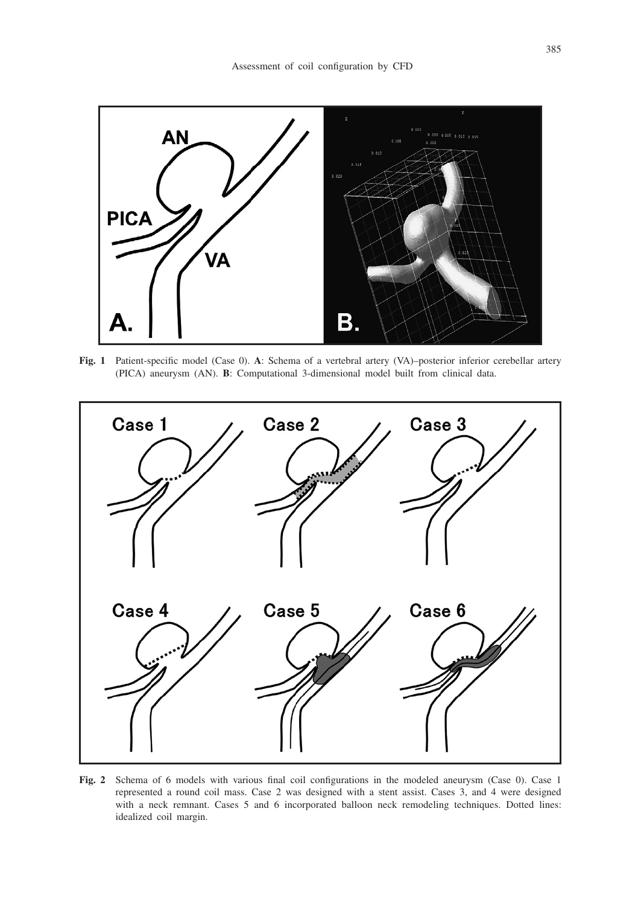

**Fig. 1** Patient-specific model (Case 0). **A**: Schema of a vertebral artery (VA)–posterior inferior cerebellar artery (PICA) aneurysm (AN). **B**: Computational 3-dimensional model built from clinical data.



**Fig. 2** Schema of 6 models with various final coil configurations in the modeled aneurysm (Case 0). Case 1 represented a round coil mass. Case 2 was designed with a stent assist. Cases 3, and 4 were designed with a neck remnant. Cases 5 and 6 incorporated balloon neck remodeling techniques. Dotted lines: idealized coil margin.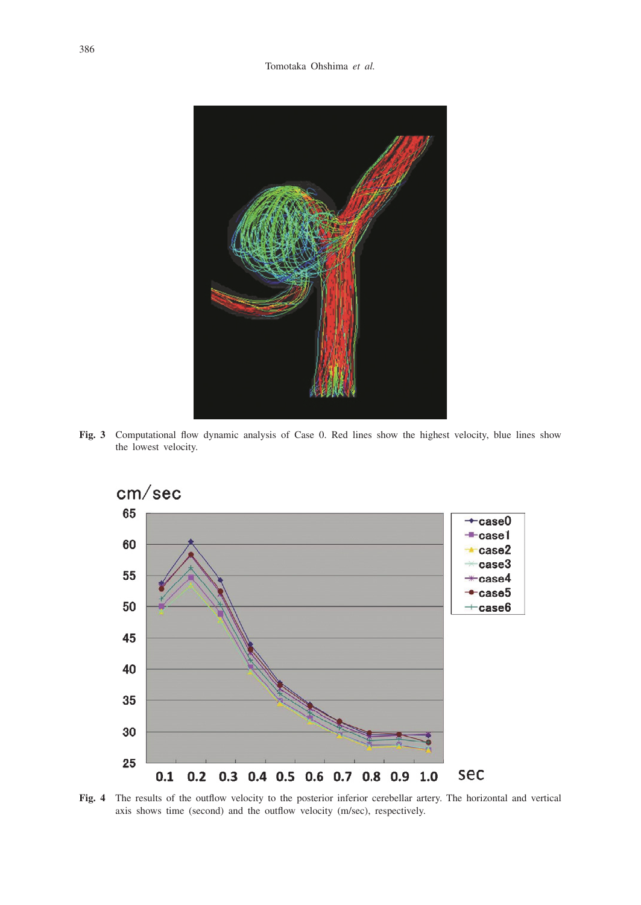

**Fig. 3** Computational flow dynamic analysis of Case 0. Red lines show the highest velocity, blue lines show the lowest velocity.



**Fig. 4** The results of the outflow velocity to the posterior inferior cerebellar artery. The horizontal and vertical axis shows time (second) and the outflow velocity (m/sec), respectively.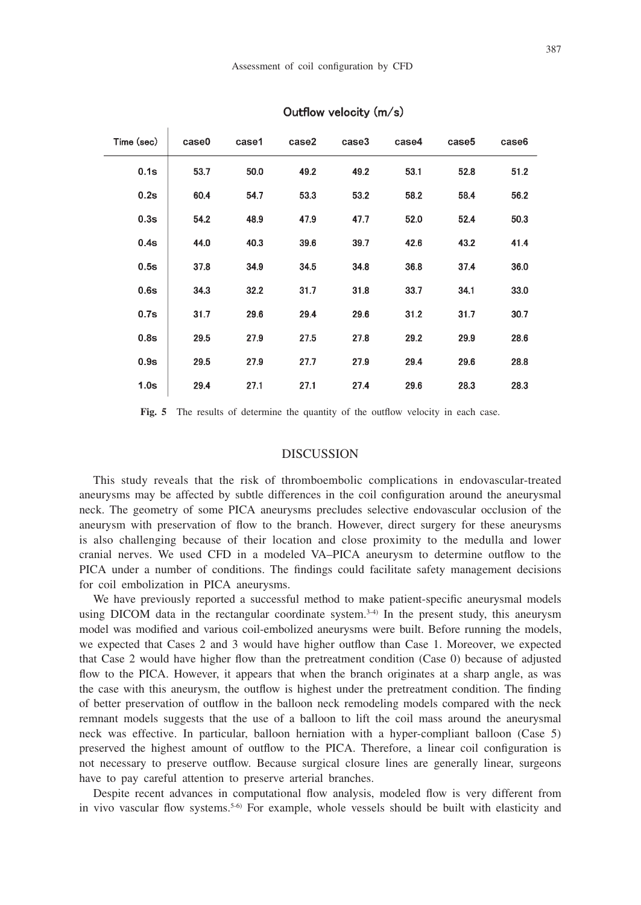| Time (sec) | case0 | case1 | case2 | case3 | case4 | case5 | case6 |
|------------|-------|-------|-------|-------|-------|-------|-------|
| 0.1s       | 53.7  | 50.0  | 49.2  | 49.2  | 53.1  | 52.8  | 51.2  |
| 0.2s       | 60.4  | 54.7  | 53.3  | 53.2  | 58.2  | 58.4  | 56.2  |
| 0.3s       | 54.2  | 48.9  | 47.9  | 47.7  | 52.0  | 52.4  | 50.3  |
| 0.4s       | 44.0  | 40.3  | 39.6  | 39.7  | 42.6  | 43.2  | 41.4  |
| 0.5s       | 37.8  | 34.9  | 34.5  | 34.8  | 36.8  | 37.4  | 36.0  |
| 0.6s       | 34.3  | 32.2  | 31.7  | 31.8  | 33.7  | 34.1  | 33.0  |
| 0.7s       | 31.7  | 29.6  | 29.4  | 29.6  | 31.2  | 31.7  | 30.7  |
| 0.8s       | 29.5  | 27.9  | 27.5  | 27.8  | 29.2  | 29.9  | 28.6  |
| 0.9s       | 29.5  | 27.9  | 27.7  | 27.9  | 29.4  | 29.6  | 28.8  |
| 1.0s       | 29.4  | 27.1  | 27.1  | 27.4  | 29.6  | 28.3  | 28.3  |

#### Outflow velocity (m/s)

Fig. 5 The results of determine the quantity of the outflow velocity in each case.

## **DISCUSSION**

This study reveals that the risk of thromboembolic complications in endovascular-treated aneurysms may be affected by subtle differences in the coil configuration around the aneurysmal neck. The geometry of some PICA aneurysms precludes selective endovascular occlusion of the aneurysm with preservation of flow to the branch. However, direct surgery for these aneurysms is also challenging because of their location and close proximity to the medulla and lower cranial nerves. We used CFD in a modeled VA–PICA aneurysm to determine outflow to the PICA under a number of conditions. The findings could facilitate safety management decisions for coil embolization in PICA aneurysms.

We have previously reported a successful method to make patient-specific aneurysmal models using DICOM data in the rectangular coordinate system. $3-4$ ) In the present study, this aneurysm model was modified and various coil-embolized aneurysms were built. Before running the models, we expected that Cases 2 and 3 would have higher outflow than Case 1. Moreover, we expected that Case 2 would have higher flow than the pretreatment condition (Case 0) because of adjusted flow to the PICA. However, it appears that when the branch originates at a sharp angle, as was the case with this aneurysm, the outflow is highest under the pretreatment condition. The finding of better preservation of outflow in the balloon neck remodeling models compared with the neck remnant models suggests that the use of a balloon to lift the coil mass around the aneurysmal neck was effective. In particular, balloon herniation with a hyper-compliant balloon (Case 5) preserved the highest amount of outflow to the PICA. Therefore, a linear coil configuration is not necessary to preserve outflow. Because surgical closure lines are generally linear, surgeons have to pay careful attention to preserve arterial branches.

Despite recent advances in computational flow analysis, modeled flow is very different from in vivo vascular flow systems.<sup>5-6)</sup> For example, whole vessels should be built with elasticity and